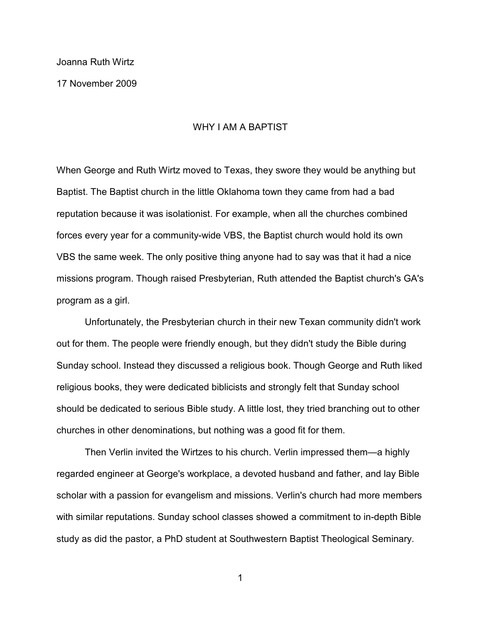Joanna Ruth Wirtz

17 November 2009

# WHY I AM A BAPTIST

When George and Ruth Wirtz moved to Texas, they swore they would be anything but Baptist. The Baptist church in the little Oklahoma town they came from had a bad reputation because it was isolationist. For example, when all the churches combined forces every year for a community-wide VBS, the Baptist church would hold its own VBS the same week. The only positive thing anyone had to say was that it had a nice missions program. Though raised Presbyterian, Ruth attended the Baptist church's GA's program as a girl.

Unfortunately, the Presbyterian church in their new Texan community didn't work out for them. The people were friendly enough, but they didn't study the Bible during Sunday school. Instead they discussed a religious book. Though George and Ruth liked religious books, they were dedicated biblicists and strongly felt that Sunday school should be dedicated to serious Bible study. A little lost, they tried branching out to other churches in other denominations, but nothing was a good fit for them.

Then Verlin invited the Wirtzes to his church. Verlin impressed them—a highly regarded engineer at George's workplace, a devoted husband and father, and lay Bible scholar with a passion for evangelism and missions. Verlin's church had more members with similar reputations. Sunday school classes showed a commitment to in-depth Bible study as did the pastor, a PhD student at Southwestern Baptist Theological Seminary.

1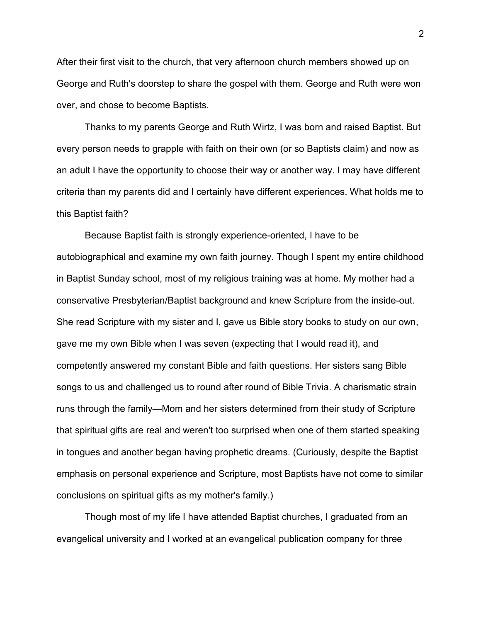After their first visit to the church, that very afternoon church members showed up on George and Ruth's doorstep to share the gospel with them. George and Ruth were won over, and chose to become Baptists.

Thanks to my parents George and Ruth Wirtz, I was born and raised Baptist. But every person needs to grapple with faith on their own (or so Baptists claim) and now as an adult I have the opportunity to choose their way or another way. I may have different criteria than my parents did and I certainly have different experiences. What holds me to this Baptist faith?

Because Baptist faith is strongly experience-oriented, I have to be autobiographical and examine my own faith journey. Though I spent my entire childhood in Baptist Sunday school, most of my religious training was at home. My mother had a conservative Presbyterian/Baptist background and knew Scripture from the inside-out. She read Scripture with my sister and I, gave us Bible story books to study on our own, gave me my own Bible when I was seven (expecting that I would read it), and competently answered my constant Bible and faith questions. Her sisters sang Bible songs to us and challenged us to round after round of Bible Trivia. A charismatic strain runs through the family—Mom and her sisters determined from their study of Scripture that spiritual gifts are real and weren't too surprised when one of them started speaking in tongues and another began having prophetic dreams. (Curiously, despite the Baptist emphasis on personal experience and Scripture, most Baptists have not come to similar conclusions on spiritual gifts as my mother's family.)

Though most of my life I have attended Baptist churches, I graduated from an evangelical university and I worked at an evangelical publication company for three

2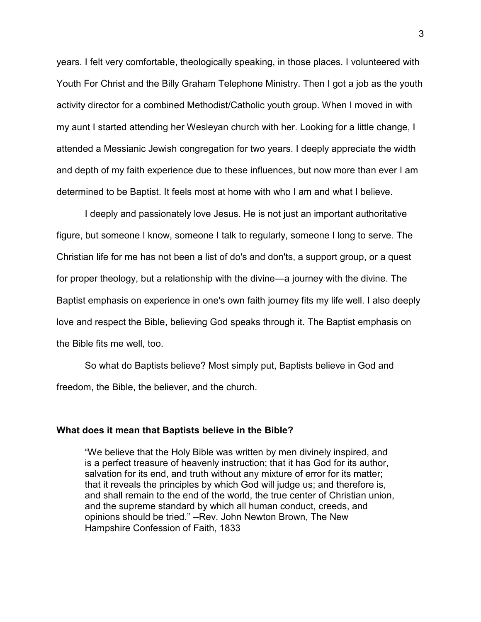years. I felt very comfortable, theologically speaking, in those places. I volunteered with Youth For Christ and the Billy Graham Telephone Ministry. Then I got a job as the youth activity director for a combined Methodist/Catholic youth group. When I moved in with my aunt I started attending her Wesleyan church with her. Looking for a little change, I attended a Messianic Jewish congregation for two years. I deeply appreciate the width and depth of my faith experience due to these influences, but now more than ever I am determined to be Baptist. It feels most at home with who I am and what I believe.

I deeply and passionately love Jesus. He is not just an important authoritative figure, but someone I know, someone I talk to regularly, someone I long to serve. The Christian life for me has not been a list of do's and don'ts, a support group, or a quest for proper theology, but a relationship with the divine—a journey with the divine. The Baptist emphasis on experience in one's own faith journey fits my life well. I also deeply love and respect the Bible, believing God speaks through it. The Baptist emphasis on the Bible fits me well, too.

So what do Baptists believe? Most simply put, Baptists believe in God and freedom, the Bible, the believer, and the church.

## **What does it mean that Baptists believe in the Bible?**

"We believe that the Holy Bible was written by men divinely inspired, and is a perfect treasure of heavenly instruction; that it has God for its author, salvation for its end, and truth without any mixture of error for its matter; that it reveals the principles by which God will judge us; and therefore is, and shall remain to the end of the world, the true center of Christian union, and the supreme standard by which all human conduct, creeds, and opinions should be tried." --Rev. John Newton Brown, The New Hampshire Confession of Faith, 1833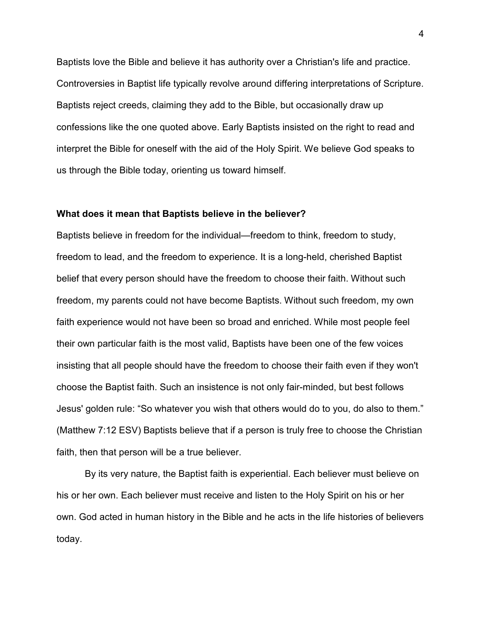Baptists love the Bible and believe it has authority over a Christian's life and practice. Controversies in Baptist life typically revolve around differing interpretations of Scripture. Baptists reject creeds, claiming they add to the Bible, but occasionally draw up confessions like the one quoted above. Early Baptists insisted on the right to read and interpret the Bible for oneself with the aid of the Holy Spirit. We believe God speaks to us through the Bible today, orienting us toward himself.

#### **What does it mean that Baptists believe in the believer?**

Baptists believe in freedom for the individual—freedom to think, freedom to study, freedom to lead, and the freedom to experience. It is a long-held, cherished Baptist belief that every person should have the freedom to choose their faith. Without such freedom, my parents could not have become Baptists. Without such freedom, my own faith experience would not have been so broad and enriched. While most people feel their own particular faith is the most valid, Baptists have been one of the few voices insisting that all people should have the freedom to choose their faith even if they won't choose the Baptist faith. Such an insistence is not only fair-minded, but best follows Jesus' golden rule: "So whatever you wish that others would do to you, do also to them." (Matthew 7:12 ESV) Baptists believe that if a person is truly free to choose the Christian faith, then that person will be a true believer.

By its very nature, the Baptist faith is experiential. Each believer must believe on his or her own. Each believer must receive and listen to the Holy Spirit on his or her own. God acted in human history in the Bible and he acts in the life histories of believers today.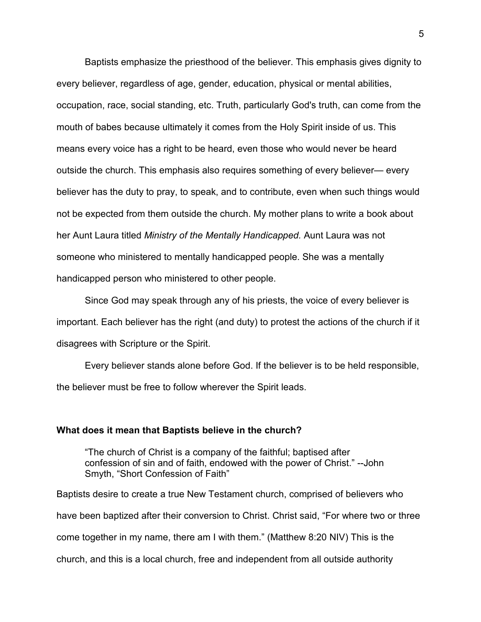Baptists emphasize the priesthood of the believer. This emphasis gives dignity to every believer, regardless of age, gender, education, physical or mental abilities, occupation, race, social standing, etc. Truth, particularly God's truth, can come from the mouth of babes because ultimately it comes from the Holy Spirit inside of us. This means every voice has a right to be heard, even those who would never be heard outside the church. This emphasis also requires something of every believer— every believer has the duty to pray, to speak, and to contribute, even when such things would not be expected from them outside the church. My mother plans to write a book about her Aunt Laura titled *Ministry of the Mentally Handicapped.* Aunt Laura was not someone who ministered to mentally handicapped people. She was a mentally handicapped person who ministered to other people.

Since God may speak through any of his priests, the voice of every believer is important. Each believer has the right (and duty) to protest the actions of the church if it disagrees with Scripture or the Spirit.

Every believer stands alone before God. If the believer is to be held responsible, the believer must be free to follow wherever the Spirit leads.

## **What does it mean that Baptists believe in the church?**

"The church of Christ is a company of the faithful; baptised after confession of sin and of faith, endowed with the power of Christ." --John Smyth, "Short Confession of Faith"

Baptists desire to create a true New Testament church, comprised of believers who have been baptized after their conversion to Christ. Christ said, "For where two or three come together in my name, there am I with them." (Matthew 8:20 NIV) This is the church, and this is a local church, free and independent from all outside authority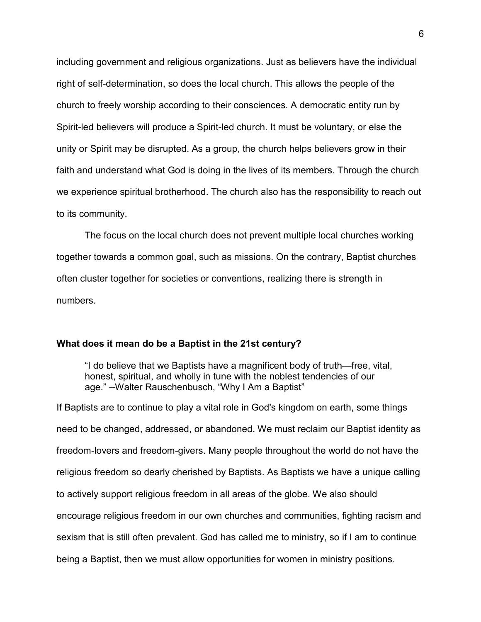including government and religious organizations. Just as believers have the individual right of self-determination, so does the local church. This allows the people of the church to freely worship according to their consciences. A democratic entity run by Spirit-led believers will produce a Spirit-led church. It must be voluntary, or else the unity or Spirit may be disrupted. As a group, the church helps believers grow in their faith and understand what God is doing in the lives of its members. Through the church we experience spiritual brotherhood. The church also has the responsibility to reach out to its community.

The focus on the local church does not prevent multiple local churches working together towards a common goal, such as missions. On the contrary, Baptist churches often cluster together for societies or conventions, realizing there is strength in numbers.

## **What does it mean do be a Baptist in the 21st century?**

"I do believe that we Baptists have a magnificent body of truth—free, vital, honest, spiritual, and wholly in tune with the noblest tendencies of our age." --Walter Rauschenbusch, "Why I Am a Baptist"

If Baptists are to continue to play a vital role in God's kingdom on earth, some things need to be changed, addressed, or abandoned. We must reclaim our Baptist identity as freedom-lovers and freedom-givers. Many people throughout the world do not have the religious freedom so dearly cherished by Baptists. As Baptists we have a unique calling to actively support religious freedom in all areas of the globe. We also should encourage religious freedom in our own churches and communities, fighting racism and sexism that is still often prevalent. God has called me to ministry, so if I am to continue being a Baptist, then we must allow opportunities for women in ministry positions.